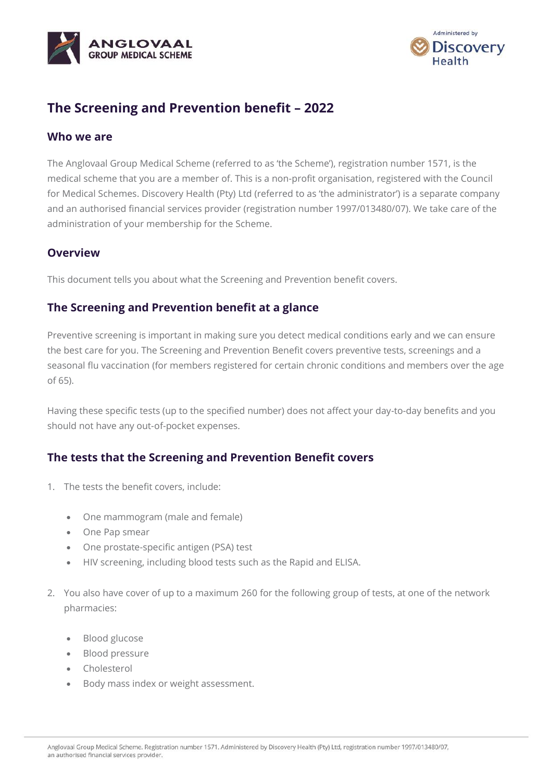



# **The Screening and Prevention benefit – 2022**

## **Who we are**

The Anglovaal Group Medical Scheme (referred to as 'the Scheme'), registration number 1571, is the medical scheme that you are a member of. This is a non-profit organisation, registered with the Council for Medical Schemes. Discovery Health (Pty) Ltd (referred to as 'the administrator') is a separate company and an authorised financial services provider (registration number 1997/013480/07). We take care of the administration of your membership for the Scheme.

## **Overview**

This document tells you about what the Screening and Prevention benefit covers.

## **The Screening and Prevention benefit at a glance**

Preventive screening is important in making sure you detect medical conditions early and we can ensure the best care for you. The Screening and Prevention Benefit covers preventive tests, screenings and a seasonal flu vaccination (for members registered for certain chronic conditions and members over the age of 65).

Having these specific tests (up to the specified number) does not affect your day-to-day benefits and you should not have any out-of-pocket expenses.

## **The tests that the Screening and Prevention Benefit covers**

- 1. The tests the benefit covers, include:
	- One mammogram (male and female)
	- One Pap smear
	- One prostate-specific antigen (PSA) test
	- HIV screening, including blood tests such as the Rapid and ELISA.
- 2. You also have cover of up to a maximum 260 for the following group of tests, at one of the network pharmacies:
	- Blood glucose
	- Blood pressure
	- Cholesterol
	- Body mass index or weight assessment.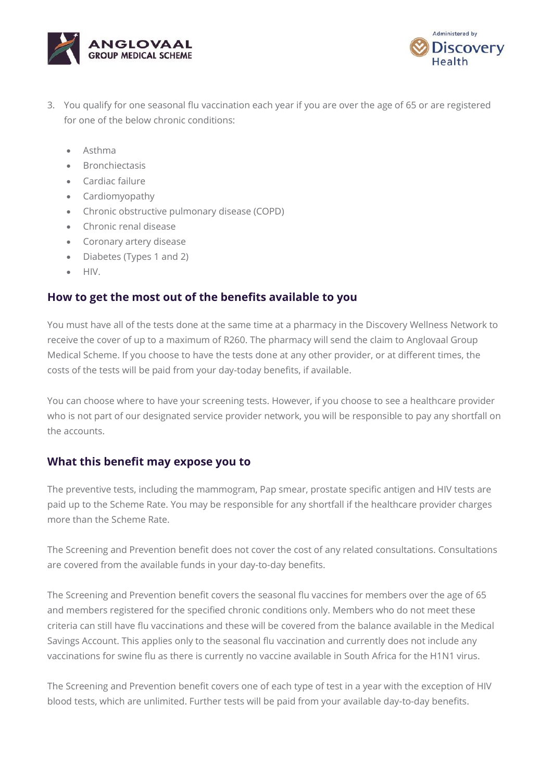



- 3. You qualify for one seasonal flu vaccination each year if you are over the age of 65 or are registered for one of the below chronic conditions:
	- Asthma
	- **Bronchiectasis**
	- Cardiac failure
	- Cardiomyopathy
	- Chronic obstructive pulmonary disease (COPD)
	- Chronic renal disease
	- Coronary artery disease
	- Diabetes (Types 1 and 2)
	- HIV.

## **How to get the most out of the benefits available to you**

You must have all of the tests done at the same time at a pharmacy in the Discovery Wellness Network to receive the cover of up to a maximum of R260. The pharmacy will send the claim to Anglovaal Group Medical Scheme. If you choose to have the tests done at any other provider, or at different times, the costs of the tests will be paid from your day-today benefits, if available.

You can choose where to have your screening tests. However, if you choose to see a healthcare provider who is not part of our designated service provider network, you will be responsible to pay any shortfall on the accounts.

## **What this benefit may expose you to**

The preventive tests, including the mammogram, Pap smear, prostate specific antigen and HIV tests are paid up to the Scheme Rate. You may be responsible for any shortfall if the healthcare provider charges more than the Scheme Rate.

The Screening and Prevention benefit does not cover the cost of any related consultations. Consultations are covered from the available funds in your day-to-day benefits.

The Screening and Prevention benefit covers the seasonal flu vaccines for members over the age of 65 and members registered for the specified chronic conditions only. Members who do not meet these criteria can still have flu vaccinations and these will be covered from the balance available in the Medical Savings Account. This applies only to the seasonal flu vaccination and currently does not include any vaccinations for swine flu as there is currently no vaccine available in South Africa for the H1N1 virus.

The Screening and Prevention benefit covers one of each type of test in a year with the exception of HIV blood tests, which are unlimited. Further tests will be paid from your available day-to-day benefits.